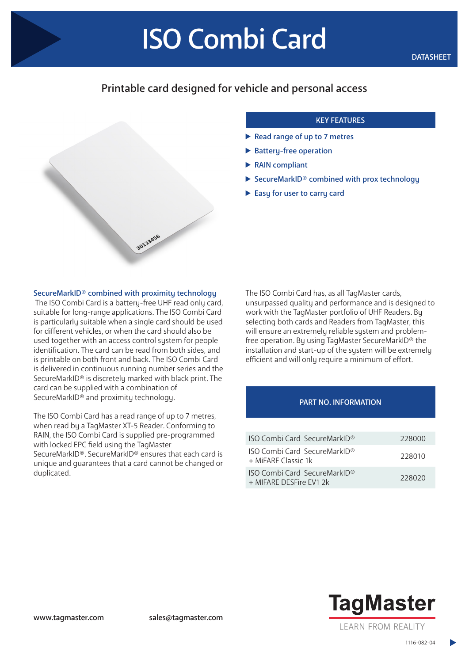# Printable card designed for vehicle and personal access



## KEY FEATURES

- Read range of up to 7 metres
- Battery-free operation
- ▶ RAIN compliant
- $\triangleright$  SecureMarkID® combined with prox technology
- Easy for user to carry card

#### SecureMarkID® combined with proximity technology

 The ISO Combi Card is a battery-free UHF read only card, suitable for long-range applications. The ISO Combi Card is particularly suitable when a single card should be used for different vehicles, or when the card should also be used together with an access control system for people identification. The card can be read from both sides, and is printable on both front and back. The ISO Combi Card is delivered in continuous running number series and the SecureMarkID® is discretely marked with black print. The card can be supplied with a combination of SecureMarkID® and proximity technology.

The ISO Combi Card has a read range of up to 7 metres, when read by a TagMaster XT-5 Reader. Conforming to RAIN, the ISO Combi Card is supplied pre-programmed with locked EPC field using the TagMaster SecureMarkID®. SecureMarkID® ensures that each card is unique and guarantees that a card cannot be changed or duplicated.

The ISO Combi Card has, as all TagMaster cards, unsurpassed quality and performance and is designed to work with the TagMaster portfolio of UHF Readers. By selecting both cards and Readers from TagMaster, this will ensure an extremely reliable system and problemfree operation. By using TagMaster SecureMarkID® the installation and start-up of the system will be extremely efficient and will only require a minimum of effort.

### PART NO. INFORMATION

| <b>ISO Combi Card SecureMarkID®</b>                        | 228000 |
|------------------------------------------------------------|--------|
| <b>ISO Combi Card SecureMarkID®</b><br>+ MiFARF Classic 1k | 228010 |
| ISO Combi Card SecureMarkID®<br>+ MIFARE DESFire FV1 2k    | 228020 |



1116-082-04